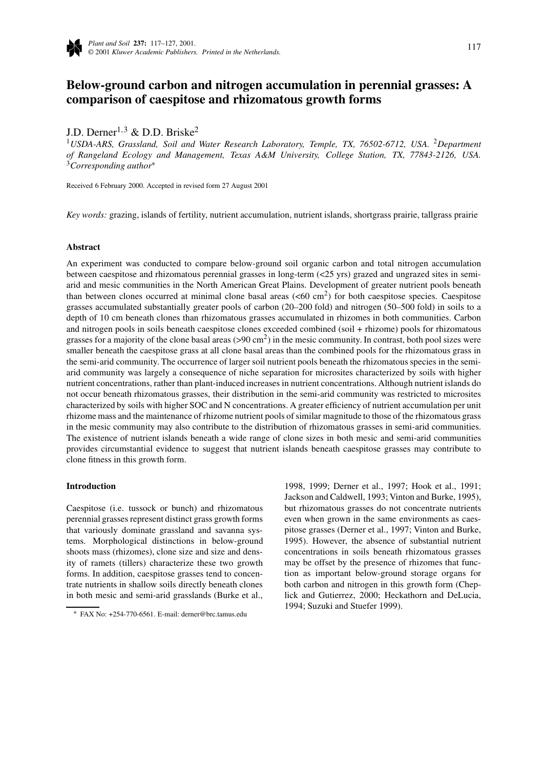

# **Below-ground carbon and nitrogen accumulation in perennial grasses: A comparison of caespitose and rhizomatous growth forms**

J.D. Derner<sup>1,3</sup> & D.D. Briske<sup>2</sup>

<sup>1</sup>*USDA-ARS, Grassland, Soil and Water Research Laboratory, Temple, TX, 76502-6712, USA.* <sup>2</sup>*Department of Rangeland Ecology and Management, Texas A&M University, College Station, TX, 77843-2126, USA.* <sup>3</sup>*Corresponding author*<sup>∗</sup>

Received 6 February 2000. Accepted in revised form 27 August 2001

*Key words:* grazing, islands of fertility, nutrient accumulation, nutrient islands, shortgrass prairie, tallgrass prairie

## **Abstract**

An experiment was conducted to compare below-ground soil organic carbon and total nitrogen accumulation between caespitose and rhizomatous perennial grasses in long-term (<25 yrs) grazed and ungrazed sites in semiarid and mesic communities in the North American Great Plains. Development of greater nutrient pools beneath than between clones occurred at minimal clone basal areas  $( $60 \text{ cm}^2$ )$  for both caespitose species. Caespitose grasses accumulated substantially greater pools of carbon (20–200 fold) and nitrogen (50–500 fold) in soils to a depth of 10 cm beneath clones than rhizomatous grasses accumulated in rhizomes in both communities. Carbon and nitrogen pools in soils beneath caespitose clones exceeded combined (soil + rhizome) pools for rhizomatous grasses for a majority of the clone basal areas  $(>90 \text{ cm}^2)$  in the mesic community. In contrast, both pool sizes were smaller beneath the caespitose grass at all clone basal areas than the combined pools for the rhizomatous grass in the semi-arid community. The occurrence of larger soil nutrient pools beneath the rhizomatous species in the semiarid community was largely a consequence of niche separation for microsites characterized by soils with higher nutrient concentrations, rather than plant-induced increases in nutrient concentrations. Although nutrient islands do not occur beneath rhizomatous grasses, their distribution in the semi-arid community was restricted to microsites characterized by soils with higher SOC and N concentrations. A greater efficiency of nutrient accumulation per unit rhizome mass and the maintenance of rhizome nutrient pools of similar magnitude to those of the rhizomatous grass in the mesic community may also contribute to the distribution of rhizomatous grasses in semi-arid communities. The existence of nutrient islands beneath a wide range of clone sizes in both mesic and semi-arid communities provides circumstantial evidence to suggest that nutrient islands beneath caespitose grasses may contribute to clone fitness in this growth form.

# **Introduction**

Caespitose (i.e. tussock or bunch) and rhizomatous perennial grasses represent distinct grass growth forms that variously dominate grassland and savanna systems. Morphological distinctions in below-ground shoots mass (rhizomes), clone size and size and density of ramets (tillers) characterize these two growth forms. In addition, caespitose grasses tend to concentrate nutrients in shallow soils directly beneath clones in both mesic and semi-arid grasslands (Burke et al.,

1998, 1999; Derner et al., 1997; Hook et al., 1991; Jackson and Caldwell, 1993; Vinton and Burke, 1995), but rhizomatous grasses do not concentrate nutrients even when grown in the same environments as caespitose grasses (Derner et al., 1997; Vinton and Burke, 1995). However, the absence of substantial nutrient concentrations in soils beneath rhizomatous grasses may be offset by the presence of rhizomes that function as important below-ground storage organs for both carbon and nitrogen in this growth form (Cheplick and Gutierrez, 2000; Heckathorn and DeLucia, 1994; Suzuki and Stuefer 1999).

<sup>∗</sup> FAX No: +254-770-6561. E-mail: derner@brc.tamus.edu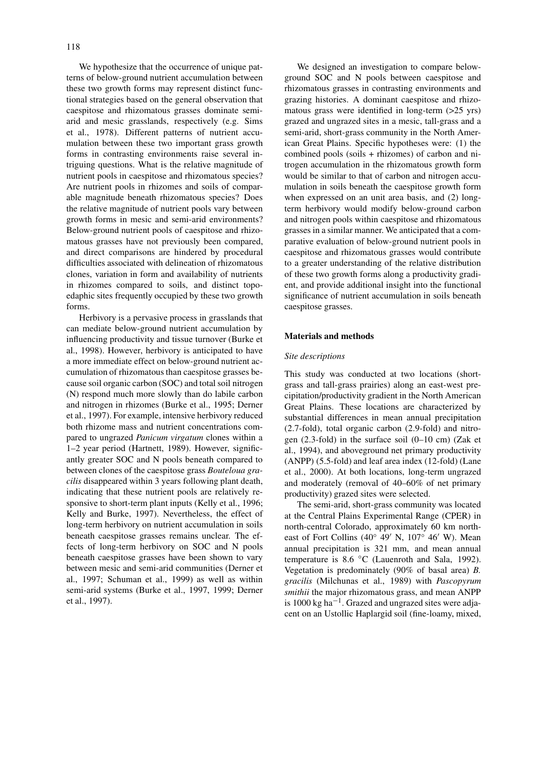We hypothesize that the occurrence of unique patterns of below-ground nutrient accumulation between these two growth forms may represent distinct functional strategies based on the general observation that caespitose and rhizomatous grasses dominate semiarid and mesic grasslands, respectively (e.g. Sims et al., 1978). Different patterns of nutrient accumulation between these two important grass growth forms in contrasting environments raise several intriguing questions. What is the relative magnitude of nutrient pools in caespitose and rhizomatous species? Are nutrient pools in rhizomes and soils of comparable magnitude beneath rhizomatous species? Does the relative magnitude of nutrient pools vary between growth forms in mesic and semi-arid environments? Below-ground nutrient pools of caespitose and rhizomatous grasses have not previously been compared, and direct comparisons are hindered by procedural difficulties associated with delineation of rhizomatous clones, variation in form and availability of nutrients in rhizomes compared to soils, and distinct topoedaphic sites frequently occupied by these two growth forms.

Herbivory is a pervasive process in grasslands that can mediate below-ground nutrient accumulation by influencing productivity and tissue turnover (Burke et al., 1998). However, herbivory is anticipated to have a more immediate effect on below-ground nutrient accumulation of rhizomatous than caespitose grasses because soil organic carbon (SOC) and total soil nitrogen (N) respond much more slowly than do labile carbon and nitrogen in rhizomes (Burke et al., 1995; Derner et al., 1997). For example, intensive herbivory reduced both rhizome mass and nutrient concentrations compared to ungrazed *Panicum virgatum* clones within a 1–2 year period (Hartnett, 1989). However, significantly greater SOC and N pools beneath compared to between clones of the caespitose grass *Bouteloua gracilis* disappeared within 3 years following plant death, indicating that these nutrient pools are relatively responsive to short-term plant inputs (Kelly et al., 1996; Kelly and Burke, 1997). Nevertheless, the effect of long-term herbivory on nutrient accumulation in soils beneath caespitose grasses remains unclear. The effects of long-term herbivory on SOC and N pools beneath caespitose grasses have been shown to vary between mesic and semi-arid communities (Derner et al., 1997; Schuman et al., 1999) as well as within semi-arid systems (Burke et al., 1997, 1999; Derner et al., 1997).

We designed an investigation to compare belowground SOC and N pools between caespitose and rhizomatous grasses in contrasting environments and grazing histories. A dominant caespitose and rhizomatous grass were identified in long-term (>25 yrs) grazed and ungrazed sites in a mesic, tall-grass and a semi-arid, short-grass community in the North American Great Plains. Specific hypotheses were: (1) the combined pools (soils + rhizomes) of carbon and nitrogen accumulation in the rhizomatous growth form would be similar to that of carbon and nitrogen accumulation in soils beneath the caespitose growth form when expressed on an unit area basis, and (2) longterm herbivory would modify below-ground carbon and nitrogen pools within caespitose and rhizomatous grasses in a similar manner. We anticipated that a comparative evaluation of below-ground nutrient pools in caespitose and rhizomatous grasses would contribute to a greater understanding of the relative distribution of these two growth forms along a productivity gradient, and provide additional insight into the functional significance of nutrient accumulation in soils beneath caespitose grasses.

## **Materials and methods**

# *Site descriptions*

This study was conducted at two locations (shortgrass and tall-grass prairies) along an east-west precipitation/productivity gradient in the North American Great Plains. These locations are characterized by substantial differences in mean annual precipitation (2.7-fold), total organic carbon (2.9-fold) and nitrogen (2.3-fold) in the surface soil (0–10 cm) (Zak et al., 1994), and aboveground net primary productivity (ANPP) (5.5-fold) and leaf area index (12-fold) (Lane et al., 2000). At both locations, long-term ungrazed and moderately (removal of 40–60% of net primary productivity) grazed sites were selected.

The semi-arid, short-grass community was located at the Central Plains Experimental Range (CPER) in north-central Colorado, approximately 60 km northeast of Fort Collins (40 $\degree$  49' N, 107 $\degree$  46' W). Mean annual precipitation is 321 mm, and mean annual temperature is 8.6 ◦C (Lauenroth and Sala, 1992). Vegetation is predominately (90% of basal area) *B. gracilis* (Milchunas et al., 1989) with *Pascopyrum smithii* the major rhizomatous grass, and mean ANPP is 1000 kg ha<sup> $-1$ </sup>. Grazed and ungrazed sites were adjacent on an Ustollic Haplargid soil (fine-loamy, mixed,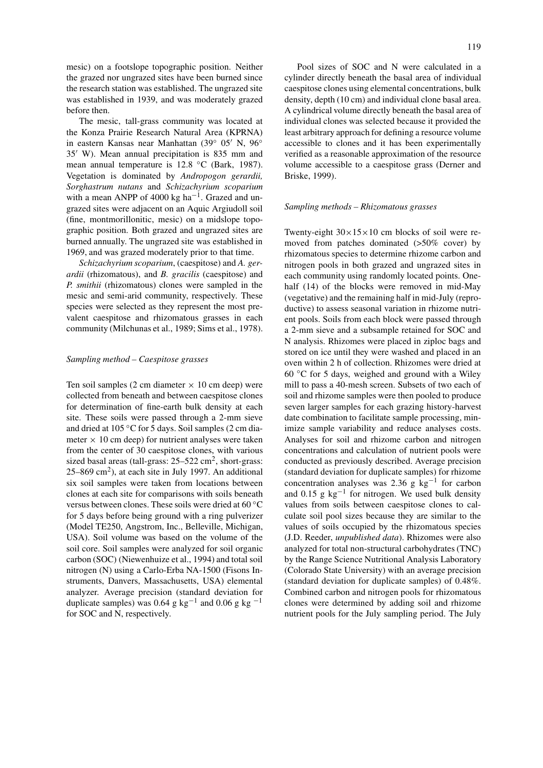mesic) on a footslope topographic position. Neither the grazed nor ungrazed sites have been burned since the research station was established. The ungrazed site was established in 1939, and was moderately grazed before then.

The mesic, tall-grass community was located at the Konza Prairie Research Natural Area (KPRNA) in eastern Kansas near Manhattan (39° 05′ N, 96° 35 W). Mean annual precipitation is 835 mm and mean annual temperature is 12.8 ◦C (Bark, 1987). Vegetation is dominated by *Andropogon gerardii, Sorghastrum nutans* and *Schizachyrium scoparium* with a mean ANPP of 4000 kg ha<sup>-1</sup>. Grazed and ungrazed sites were adjacent on an Aquic Argiudoll soil (fine, montmorillonitic, mesic) on a midslope topographic position. Both grazed and ungrazed sites are burned annually. The ungrazed site was established in 1969, and was grazed moderately prior to that time.

*Schizachyrium scoparium*, (caespitose) and *A. gerardii* (rhizomatous), and *B. gracilis* (caespitose) and *P. smithii* (rhizomatous) clones were sampled in the mesic and semi-arid community, respectively. These species were selected as they represent the most prevalent caespitose and rhizomatous grasses in each community (Milchunas et al., 1989; Sims et al., 1978).

#### *Sampling method – Caespitose grasses*

Ten soil samples (2 cm diameter  $\times$  10 cm deep) were collected from beneath and between caespitose clones for determination of fine-earth bulk density at each site. These soils were passed through a 2-mm sieve and dried at 105 °C for 5 days. Soil samples (2 cm diameter  $\times$  10 cm deep) for nutrient analyses were taken from the center of 30 caespitose clones, with various sized basal areas (tall-grass:  $25-522$  cm<sup>2</sup>, short-grass:  $25-869$  cm<sup>2</sup>), at each site in July 1997. An additional six soil samples were taken from locations between clones at each site for comparisons with soils beneath versus between clones. These soils were dried at 60 ◦C for 5 days before being ground with a ring pulverizer (Model TE250, Angstrom, Inc., Belleville, Michigan, USA). Soil volume was based on the volume of the soil core. Soil samples were analyzed for soil organic carbon (SOC) (Niewenhuize et al., 1994) and total soil nitrogen (N) using a Carlo-Erba NA-1500 (Fisons Instruments, Danvers, Massachusetts, USA) elemental analyzer. Average precision (standard deviation for duplicate samples) was 0.64 g kg<sup>-1</sup> and 0.06 g kg<sup>-1</sup> for SOC and N, respectively.

Pool sizes of SOC and N were calculated in a cylinder directly beneath the basal area of individual caespitose clones using elemental concentrations, bulk density, depth (10 cm) and individual clone basal area. A cylindrical volume directly beneath the basal area of individual clones was selected because it provided the least arbitrary approach for defining a resource volume accessible to clones and it has been experimentally verified as a reasonable approximation of the resource volume accessible to a caespitose grass (Derner and Briske, 1999).

# *Sampling methods – Rhizomatous grasses*

Twenty-eight  $30 \times 15 \times 10$  cm blocks of soil were removed from patches dominated (>50% cover) by rhizomatous species to determine rhizome carbon and nitrogen pools in both grazed and ungrazed sites in each community using randomly located points. Onehalf (14) of the blocks were removed in mid-May (vegetative) and the remaining half in mid-July (reproductive) to assess seasonal variation in rhizome nutrient pools. Soils from each block were passed through a 2-mm sieve and a subsample retained for SOC and N analysis. Rhizomes were placed in ziploc bags and stored on ice until they were washed and placed in an oven within 2 h of collection. Rhizomes were dried at 60 ◦C for 5 days, weighed and ground with a Wiley mill to pass a 40-mesh screen. Subsets of two each of soil and rhizome samples were then pooled to produce seven larger samples for each grazing history-harvest date combination to facilitate sample processing, minimize sample variability and reduce analyses costs. Analyses for soil and rhizome carbon and nitrogen concentrations and calculation of nutrient pools were conducted as previously described. Average precision (standard deviation for duplicate samples) for rhizome concentration analyses was 2.36 g kg<sup>-1</sup> for carbon and 0.15 g  $kg^{-1}$  for nitrogen. We used bulk density values from soils between caespitose clones to calculate soil pool sizes because they are similar to the values of soils occupied by the rhizomatous species (J.D. Reeder, *unpublished data*). Rhizomes were also analyzed for total non-structural carbohydrates (TNC) by the Range Science Nutritional Analysis Laboratory (Colorado State University) with an average precision (standard deviation for duplicate samples) of 0.48%. Combined carbon and nitrogen pools for rhizomatous clones were determined by adding soil and rhizome nutrient pools for the July sampling period. The July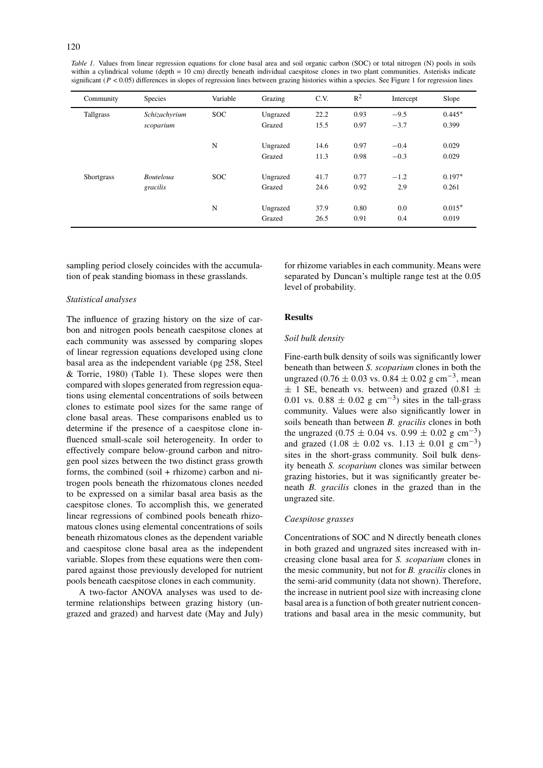*Table 1.* Values from linear regression equations for clone basal area and soil organic carbon (SOC) or total nitrogen (N) pools in soils within a cylindrical volume (depth = 10 cm) directly beneath individual caespitose clones in two plant communities. Asterisks indicate significant ( $P < 0.05$ ) differences in slopes of regression lines between grazing histories within a species. See Figure 1 for regression lines

| Community  | <b>Species</b>               | Variable   | Grazing            | C.V.         | $R^2$        | Intercept        | Slope             |
|------------|------------------------------|------------|--------------------|--------------|--------------|------------------|-------------------|
| Tallgrass  | Schizachyrium<br>scoparium   | <b>SOC</b> | Ungrazed<br>Grazed | 22.2<br>15.5 | 0.93<br>0.97 | $-9.5$<br>$-3.7$ | $0.445*$<br>0.399 |
|            |                              | N          | Ungrazed<br>Grazed | 14.6<br>11.3 | 0.97<br>0.98 | $-0.4$<br>$-0.3$ | 0.029<br>0.029    |
| Shortgrass | <b>Bouteloua</b><br>gracilis | <b>SOC</b> | Ungrazed<br>Grazed | 41.7<br>24.6 | 0.77<br>0.92 | $-1.2$<br>2.9    | $0.197*$<br>0.261 |
|            |                              | N          | Ungrazed<br>Grazed | 37.9<br>26.5 | 0.80<br>0.91 | 0.0<br>0.4       | $0.015*$<br>0.019 |

sampling period closely coincides with the accumulation of peak standing biomass in these grasslands.

## *Statistical analyses*

The influence of grazing history on the size of carbon and nitrogen pools beneath caespitose clones at each community was assessed by comparing slopes of linear regression equations developed using clone basal area as the independent variable (pg 258, Steel & Torrie, 1980) (Table 1). These slopes were then compared with slopes generated from regression equations using elemental concentrations of soils between clones to estimate pool sizes for the same range of clone basal areas. These comparisons enabled us to determine if the presence of a caespitose clone influenced small-scale soil heterogeneity. In order to effectively compare below-ground carbon and nitrogen pool sizes between the two distinct grass growth forms, the combined (soil + rhizome) carbon and nitrogen pools beneath the rhizomatous clones needed to be expressed on a similar basal area basis as the caespitose clones. To accomplish this, we generated linear regressions of combined pools beneath rhizomatous clones using elemental concentrations of soils beneath rhizomatous clones as the dependent variable and caespitose clone basal area as the independent variable. Slopes from these equations were then compared against those previously developed for nutrient pools beneath caespitose clones in each community.

A two-factor ANOVA analyses was used to determine relationships between grazing history (ungrazed and grazed) and harvest date (May and July) for rhizome variables in each community. Means were separated by Duncan's multiple range test at the 0.05 level of probability.

# **Results**

# *Soil bulk density*

Fine-earth bulk density of soils was significantly lower beneath than between *S. scoparium* clones in both the ungrazed (0.76 ± 0.03 vs. 0.84 ± 0.02 g cm<sup>-3</sup>, mean  $\pm$  1 SE, beneath vs. between) and grazed (0.81  $\pm$ 0.01 vs. 0.88  $\pm$  0.02 g cm<sup>-3</sup>) sites in the tall-grass community. Values were also significantly lower in soils beneath than between *B. gracilis* clones in both the ungrazed (0.75  $\pm$  0.04 vs. 0.99  $\pm$  0.02 g cm<sup>-3</sup>) and grazed (1.08  $\pm$  0.02 vs. 1.13  $\pm$  0.01 g cm<sup>-3</sup>) sites in the short-grass community. Soil bulk density beneath *S. scoparium* clones was similar between grazing histories, but it was significantly greater beneath *B. gracilis* clones in the grazed than in the ungrazed site.

#### *Caespitose grasses*

Concentrations of SOC and N directly beneath clones in both grazed and ungrazed sites increased with increasing clone basal area for *S. scoparium* clones in the mesic community, but not for *B. gracilis* clones in the semi-arid community (data not shown). Therefore, the increase in nutrient pool size with increasing clone basal area is a function of both greater nutrient concentrations and basal area in the mesic community, but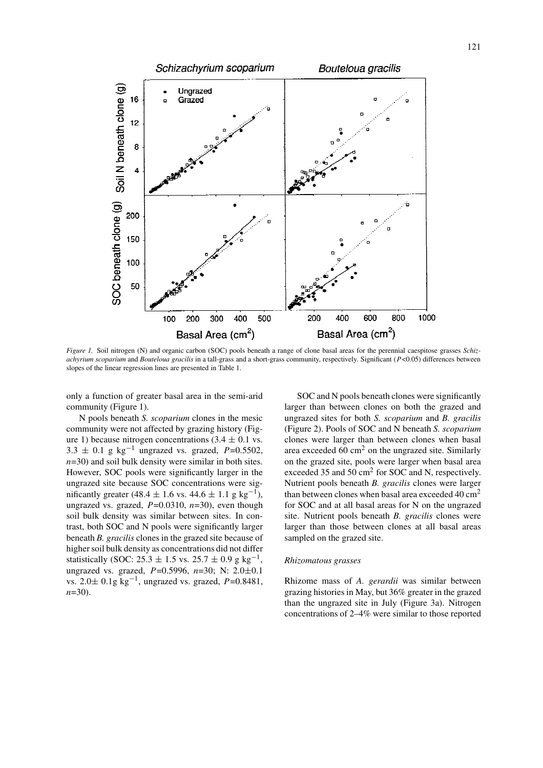

*Figure 1.* Soil nitrogen (N) and organic carbon (SOC) pools beneath a range of clone basal areas for the perennial caespitose grasses *Schizachyrium scoparium* and *Bouteloua gracilis* in a tall-grass and a short-grass community, respectively. Significant (*P*<0.05) differences between slopes of the linear regression lines are presented in Table 1.

only a function of greater basal area in the semi-arid community (Figure 1).

N pools beneath *S. scoparium* clones in the mesic community were not affected by grazing history (Figure 1) because nitrogen concentrations  $(3.4 \pm 0.1 \text{ vs.})$ 3.3  $\pm$  0.1 g kg<sup>-1</sup> ungrazed vs. grazed, *P*=0.5502, *n*=30) and soil bulk density were similar in both sites. However, SOC pools were significantly larger in the ungrazed site because SOC concentrations were significantly greater (48.4  $\pm$  1.6 vs. 44.6  $\pm$  1.1 g kg<sup>-1</sup>), ungrazed vs. grazed,  $P=0.0310$ ,  $n=30$ ), even though soil bulk density was similar between sites. In contrast, both SOC and N pools were significantly larger beneath *B. gracilis* clones in the grazed site because of higher soil bulk density as concentrations did not differ statistically (SOC: 25.3  $\pm$  1.5 vs. 25.7  $\pm$  0.9 g kg<sup>-1</sup>, ungrazed vs. grazed, *P*=0.5996, *n*=30; N: 2.0±0.1 vs. 2.0<sup>±</sup> 0.1g kg−1, ungrazed vs. grazed, *<sup>P</sup>*=0.8481, *n*=30).

SOC and N pools beneath clones were significantly larger than between clones on both the grazed and ungrazed sites for both *S. scoparium* and *B. gracilis* (Figure 2). Pools of SOC and N beneath *S. scoparium* clones were larger than between clones when basal area exceeded  $60 \text{ cm}^2$  on the ungrazed site. Similarly on the grazed site, pools were larger when basal area exceeded 35 and 50 cm<sup>2</sup> for SOC and N, respectively. Nutrient pools beneath *B. gracilis* clones were larger than between clones when basal area exceeded  $40 \text{ cm}^2$ for SOC and at all basal areas for N on the ungrazed site. Nutrient pools beneath *B. gracilis* clones were larger than those between clones at all basal areas sampled on the grazed site.

#### *Rhizomatous grasses*

Rhizome mass of *A. gerardii* was similar between grazing histories in May, but 36% greater in the grazed than the ungrazed site in July (Figure 3a). Nitrogen concentrations of 2–4% were similar to those reported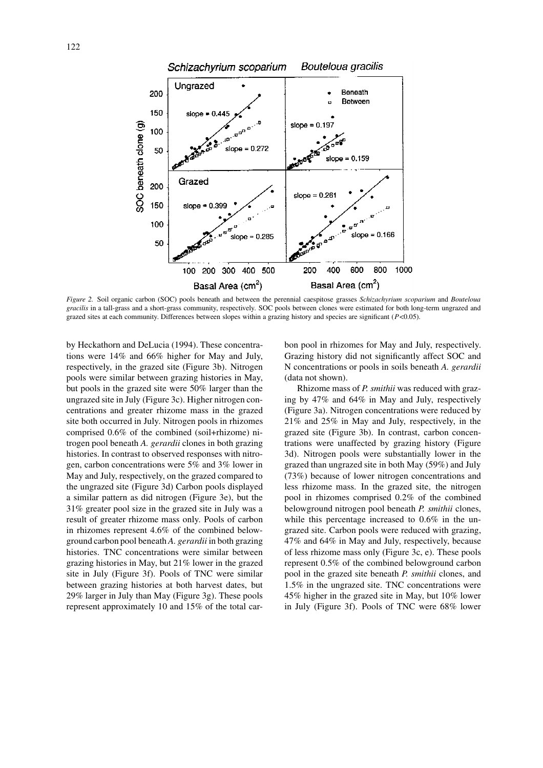

*Figure 2.* Soil organic carbon (SOC) pools beneath and between the perennial caespitose grasses *Schizachyrium scoparium* and *Bouteloua gracilis* in a tall-grass and a short-grass community, respectively. SOC pools between clones were estimated for both long-term ungrazed and grazed sites at each community. Differences between slopes within a grazing history and species are significant (*P*<0.05).

by Heckathorn and DeLucia (1994). These concentrations were 14% and 66% higher for May and July, respectively, in the grazed site (Figure 3b). Nitrogen pools were similar between grazing histories in May, but pools in the grazed site were 50% larger than the ungrazed site in July (Figure 3c). Higher nitrogen concentrations and greater rhizome mass in the grazed site both occurred in July. Nitrogen pools in rhizomes comprised 0.6% of the combined (soil+rhizome) nitrogen pool beneath *A. gerardii* clones in both grazing histories. In contrast to observed responses with nitrogen, carbon concentrations were 5% and 3% lower in May and July, respectively, on the grazed compared to the ungrazed site (Figure 3d) Carbon pools displayed a similar pattern as did nitrogen (Figure 3e), but the 31% greater pool size in the grazed site in July was a result of greater rhizome mass only. Pools of carbon in rhizomes represent 4.6% of the combined belowground carbon pool beneath *A. gerardii* in both grazing histories. TNC concentrations were similar between grazing histories in May, but 21% lower in the grazed site in July (Figure 3f). Pools of TNC were similar between grazing histories at both harvest dates, but 29% larger in July than May (Figure 3g). These pools represent approximately 10 and 15% of the total carbon pool in rhizomes for May and July, respectively. Grazing history did not significantly affect SOC and N concentrations or pools in soils beneath *A. gerardii* (data not shown).

Rhizome mass of *P. smithii* was reduced with grazing by 47% and 64% in May and July, respectively (Figure 3a). Nitrogen concentrations were reduced by 21% and 25% in May and July, respectively, in the grazed site (Figure 3b). In contrast, carbon concentrations were unaffected by grazing history (Figure 3d). Nitrogen pools were substantially lower in the grazed than ungrazed site in both May (59%) and July (73%) because of lower nitrogen concentrations and less rhizome mass. In the grazed site, the nitrogen pool in rhizomes comprised 0.2% of the combined belowground nitrogen pool beneath *P. smithii* clones, while this percentage increased to  $0.6\%$  in the ungrazed site. Carbon pools were reduced with grazing, 47% and 64% in May and July, respectively, because of less rhizome mass only (Figure 3c, e). These pools represent 0.5% of the combined belowground carbon pool in the grazed site beneath *P. smithii* clones, and 1.5% in the ungrazed site. TNC concentrations were 45% higher in the grazed site in May, but 10% lower in July (Figure 3f). Pools of TNC were 68% lower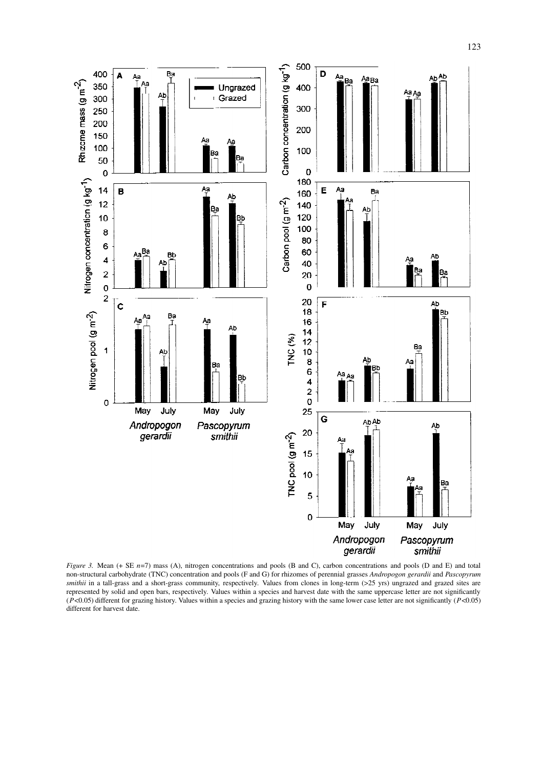

*Figure 3.* Mean (+ SE *n*=7) mass (A), nitrogen concentrations and pools (B and C), carbon concentrations and pools (D and E) and total non-structural carbohydrate (TNC) concentration and pools (F and G) for rhizomes of perennial grasses *Andropogon gerardii* and *Pascopyrum smithii* in a tall-grass and a short-grass community, respectively. Values from clones in long-term (>25 yrs) ungrazed and grazed sites are represented by solid and open bars, respectively. Values within a species and harvest date with the same uppercase letter are not significantly (*P*<0.05) different for grazing history. Values within a species and grazing history with the same lower case letter are not significantly (*P*<0.05) different for harvest date.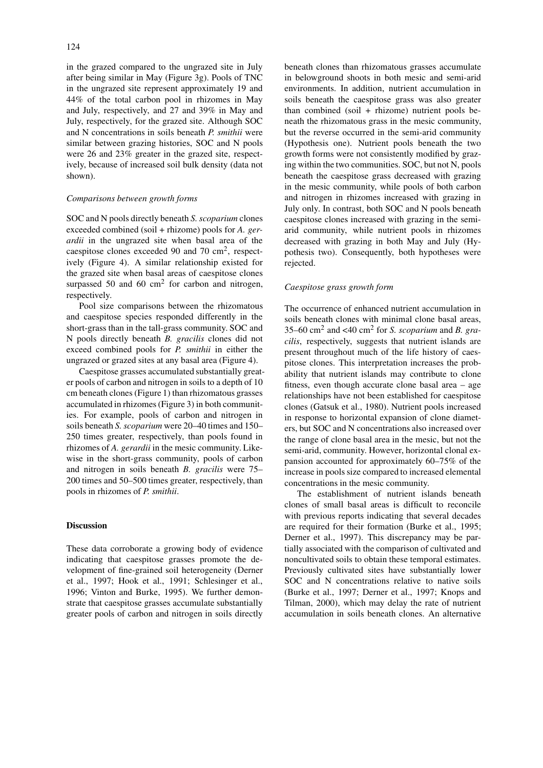in the grazed compared to the ungrazed site in July after being similar in May (Figure 3g). Pools of TNC in the ungrazed site represent approximately 19 and 44% of the total carbon pool in rhizomes in May and July, respectively, and 27 and 39% in May and July, respectively, for the grazed site. Although SOC and N concentrations in soils beneath *P. smithii* were similar between grazing histories, SOC and N pools were 26 and 23% greater in the grazed site, respectively, because of increased soil bulk density (data not shown).

# *Comparisons between growth forms*

SOC and N pools directly beneath *S. scoparium* clones exceeded combined (soil + rhizome) pools for *A. gerardii* in the ungrazed site when basal area of the caespitose clones exceeded 90 and 70 cm2, respectively (Figure 4). A similar relationship existed for the grazed site when basal areas of caespitose clones surpassed 50 and 60  $\text{cm}^2$  for carbon and nitrogen, respectively.

Pool size comparisons between the rhizomatous and caespitose species responded differently in the short-grass than in the tall-grass community. SOC and N pools directly beneath *B. gracilis* clones did not exceed combined pools for *P. smithii* in either the ungrazed or grazed sites at any basal area (Figure 4).

Caespitose grasses accumulated substantially greater pools of carbon and nitrogen in soils to a depth of 10 cm beneath clones (Figure 1) than rhizomatous grasses accumulated in rhizomes (Figure 3) in both communities. For example, pools of carbon and nitrogen in soils beneath *S. scoparium* were 20–40 times and 150– 250 times greater, respectively, than pools found in rhizomes of *A. gerardii* in the mesic community. Likewise in the short-grass community, pools of carbon and nitrogen in soils beneath *B. gracilis* were 75– 200 times and 50–500 times greater, respectively, than pools in rhizomes of *P. smithii*.

# **Discussion**

These data corroborate a growing body of evidence indicating that caespitose grasses promote the development of fine-grained soil heterogeneity (Derner et al., 1997; Hook et al., 1991; Schlesinger et al., 1996; Vinton and Burke, 1995). We further demonstrate that caespitose grasses accumulate substantially greater pools of carbon and nitrogen in soils directly beneath clones than rhizomatous grasses accumulate in belowground shoots in both mesic and semi-arid environments. In addition, nutrient accumulation in soils beneath the caespitose grass was also greater than combined (soil + rhizome) nutrient pools beneath the rhizomatous grass in the mesic community, but the reverse occurred in the semi-arid community (Hypothesis one). Nutrient pools beneath the two growth forms were not consistently modified by grazing within the two communities. SOC, but not N, pools beneath the caespitose grass decreased with grazing in the mesic community, while pools of both carbon and nitrogen in rhizomes increased with grazing in July only. In contrast, both SOC and N pools beneath caespitose clones increased with grazing in the semiarid community, while nutrient pools in rhizomes decreased with grazing in both May and July (Hypothesis two). Consequently, both hypotheses were rejected.

# *Caespitose grass growth form*

The occurrence of enhanced nutrient accumulation in soils beneath clones with minimal clone basal areas, 35–60 cm<sup>2</sup> and <40 cm<sup>2</sup> for *S. scoparium* and *B. gracilis*, respectively, suggests that nutrient islands are present throughout much of the life history of caespitose clones. This interpretation increases the probability that nutrient islands may contribute to clone fitness, even though accurate clone basal area – age relationships have not been established for caespitose clones (Gatsuk et al., 1980). Nutrient pools increased in response to horizontal expansion of clone diameters, but SOC and N concentrations also increased over the range of clone basal area in the mesic, but not the semi-arid, community. However, horizontal clonal expansion accounted for approximately 60–75% of the increase in pools size compared to increased elemental concentrations in the mesic community.

The establishment of nutrient islands beneath clones of small basal areas is difficult to reconcile with previous reports indicating that several decades are required for their formation (Burke et al., 1995; Derner et al., 1997). This discrepancy may be partially associated with the comparison of cultivated and noncultivated soils to obtain these temporal estimates. Previously cultivated sites have substantially lower SOC and N concentrations relative to native soils (Burke et al., 1997; Derner et al., 1997; Knops and Tilman, 2000), which may delay the rate of nutrient accumulation in soils beneath clones. An alternative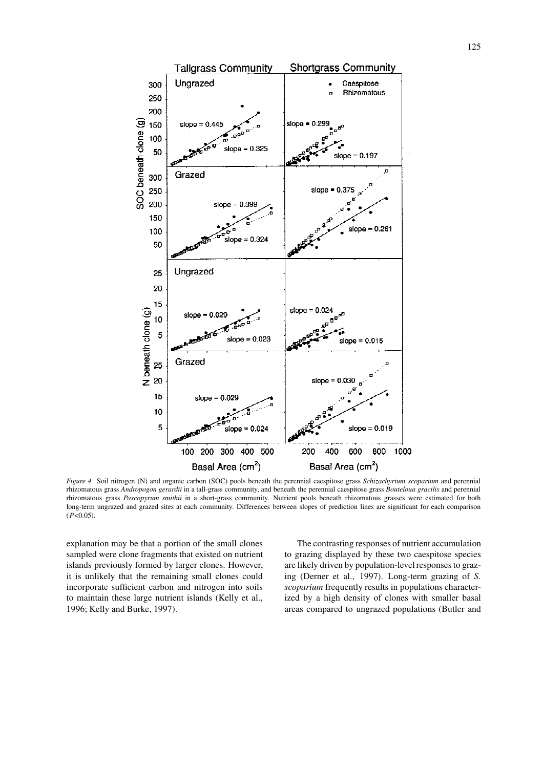

*Figure 4.* Soil nitrogen (N) and organic carbon (SOC) pools beneath the perennial caespitose grass *Schizachyrium scoparium* and perennial rhizomatous grass *Andropogon gerardii* in a tall-grass community, and beneath the perennial caespitose grass *Bouteloua gracilis* and perennial rhizomatous grass *Pascopyrum smithii* in a short-grass community. Nutrient pools beneath rhizomatous grasses were estimated for both long-term ungrazed and grazed sites at each community. Differences between slopes of prediction lines are significant for each comparison  $(P<0.05)$ .

explanation may be that a portion of the small clones sampled were clone fragments that existed on nutrient islands previously formed by larger clones. However, it is unlikely that the remaining small clones could incorporate sufficient carbon and nitrogen into soils to maintain these large nutrient islands (Kelly et al., 1996; Kelly and Burke, 1997).

The contrasting responses of nutrient accumulation to grazing displayed by these two caespitose species are likely driven by population-level responses to grazing (Derner et al., 1997). Long-term grazing of *S. scoparium* frequently results in populations characterized by a high density of clones with smaller basal areas compared to ungrazed populations (Butler and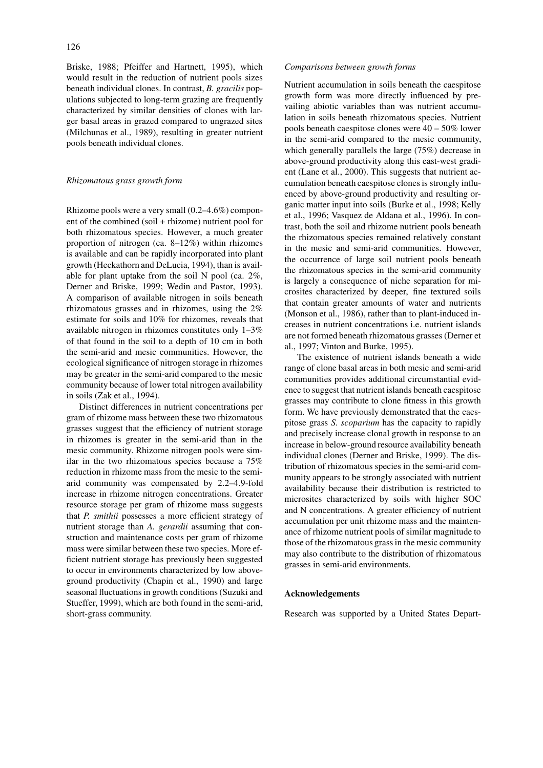Briske, 1988; Pfeiffer and Hartnett, 1995), which would result in the reduction of nutrient pools sizes beneath individual clones. In contrast, *B. gracilis* populations subjected to long-term grazing are frequently characterized by similar densities of clones with larger basal areas in grazed compared to ungrazed sites (Milchunas et al., 1989), resulting in greater nutrient pools beneath individual clones.

#### *Rhizomatous grass growth form*

Rhizome pools were a very small (0.2–4.6%) component of the combined (soil + rhizome) nutrient pool for both rhizomatous species. However, a much greater proportion of nitrogen (ca. 8–12%) within rhizomes is available and can be rapidly incorporated into plant growth (Heckathorn and DeLucia, 1994), than is available for plant uptake from the soil N pool (ca. 2%, Derner and Briske, 1999; Wedin and Pastor, 1993). A comparison of available nitrogen in soils beneath rhizomatous grasses and in rhizomes, using the 2% estimate for soils and 10% for rhizomes, reveals that available nitrogen in rhizomes constitutes only 1–3% of that found in the soil to a depth of 10 cm in both the semi-arid and mesic communities. However, the ecological significance of nitrogen storage in rhizomes may be greater in the semi-arid compared to the mesic community because of lower total nitrogen availability in soils (Zak et al., 1994).

Distinct differences in nutrient concentrations per gram of rhizome mass between these two rhizomatous grasses suggest that the efficiency of nutrient storage in rhizomes is greater in the semi-arid than in the mesic community. Rhizome nitrogen pools were similar in the two rhizomatous species because a 75% reduction in rhizome mass from the mesic to the semiarid community was compensated by 2.2–4.9-fold increase in rhizome nitrogen concentrations. Greater resource storage per gram of rhizome mass suggests that *P. smithii* possesses a more efficient strategy of nutrient storage than *A. gerardii* assuming that construction and maintenance costs per gram of rhizome mass were similar between these two species. More efficient nutrient storage has previously been suggested to occur in environments characterized by low aboveground productivity (Chapin et al., 1990) and large seasonal fluctuations in growth conditions (Suzuki and Stueffer, 1999), which are both found in the semi-arid, short-grass community.

# *Comparisons between growth forms*

Nutrient accumulation in soils beneath the caespitose growth form was more directly influenced by prevailing abiotic variables than was nutrient accumulation in soils beneath rhizomatous species. Nutrient pools beneath caespitose clones were 40 – 50% lower in the semi-arid compared to the mesic community, which generally parallels the large (75%) decrease in above-ground productivity along this east-west gradient (Lane et al., 2000). This suggests that nutrient accumulation beneath caespitose clones is strongly influenced by above-ground productivity and resulting organic matter input into soils (Burke et al., 1998; Kelly et al., 1996; Vasquez de Aldana et al., 1996). In contrast, both the soil and rhizome nutrient pools beneath the rhizomatous species remained relatively constant in the mesic and semi-arid communities. However, the occurrence of large soil nutrient pools beneath the rhizomatous species in the semi-arid community is largely a consequence of niche separation for microsites characterized by deeper, fine textured soils that contain greater amounts of water and nutrients (Monson et al., 1986), rather than to plant-induced increases in nutrient concentrations i.e. nutrient islands are not formed beneath rhizomatous grasses (Derner et al., 1997; Vinton and Burke, 1995).

The existence of nutrient islands beneath a wide range of clone basal areas in both mesic and semi-arid communities provides additional circumstantial evidence to suggest that nutrient islands beneath caespitose grasses may contribute to clone fitness in this growth form. We have previously demonstrated that the caespitose grass *S. scoparium* has the capacity to rapidly and precisely increase clonal growth in response to an increase in below-ground resource availability beneath individual clones (Derner and Briske, 1999). The distribution of rhizomatous species in the semi-arid community appears to be strongly associated with nutrient availability because their distribution is restricted to microsites characterized by soils with higher SOC and N concentrations. A greater efficiency of nutrient accumulation per unit rhizome mass and the maintenance of rhizome nutrient pools of similar magnitude to those of the rhizomatous grass in the mesic community may also contribute to the distribution of rhizomatous grasses in semi-arid environments.

# **Acknowledgements**

Research was supported by a United States Depart-